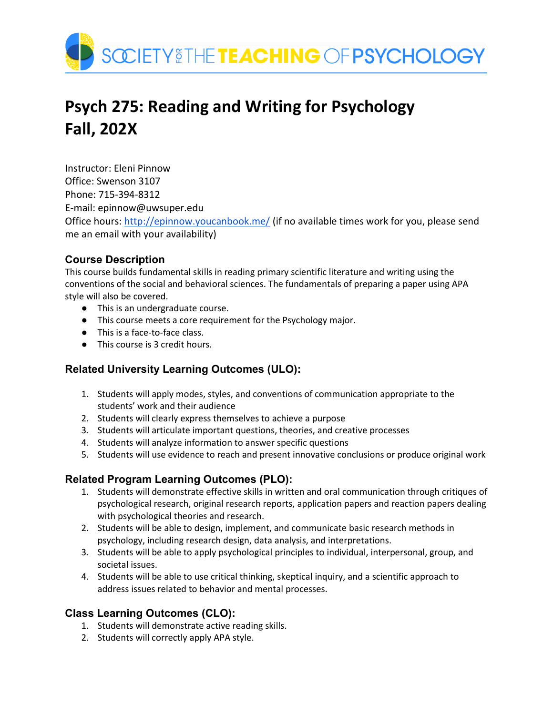

# **Psych 275: Reading and Writing for Psychology Fall, 202X**

Instructor: Eleni Pinnow Office: Swenson 3107 Phone: 715-394-8312 E-mail: epinnow@uwsuper.edu Office hours:<http://epinnow.youcanbook.me/> (if no available times work for you, please send me an email with your availability)

# **Course Description**

This course builds fundamental skills in reading primary scientific literature and writing using the conventions of the social and behavioral sciences. The fundamentals of preparing a paper using APA style will also be covered.

- This is an undergraduate course.
- This course meets a core requirement for the Psychology major.
- This is a face-to-face class.
- This course is 3 credit hours.

# **Related University Learning Outcomes (ULO):**

- 1. Students will apply modes, styles, and conventions of communication appropriate to the students' work and their audience
- 2. Students will clearly express themselves to achieve a purpose
- 3. Students will articulate important questions, theories, and creative processes
- 4. Students will analyze information to answer specific questions
- 5. Students will use evidence to reach and present innovative conclusions or produce original work

# **Related Program Learning Outcomes (PLO):**

- 1. Students will demonstrate effective skills in written and oral communication through critiques of psychological research, original research reports, application papers and reaction papers dealing with psychological theories and research.
- 2. Students will be able to design, implement, and communicate basic research methods in psychology, including research design, data analysis, and interpretations.
- 3. Students will be able to apply psychological principles to individual, interpersonal, group, and societal issues.
- 4. Students will be able to use critical thinking, skeptical inquiry, and a scientific approach to address issues related to behavior and mental processes.

# **Class Learning Outcomes (CLO):**

- 1. Students will demonstrate active reading skills.
- 2. Students will correctly apply APA style.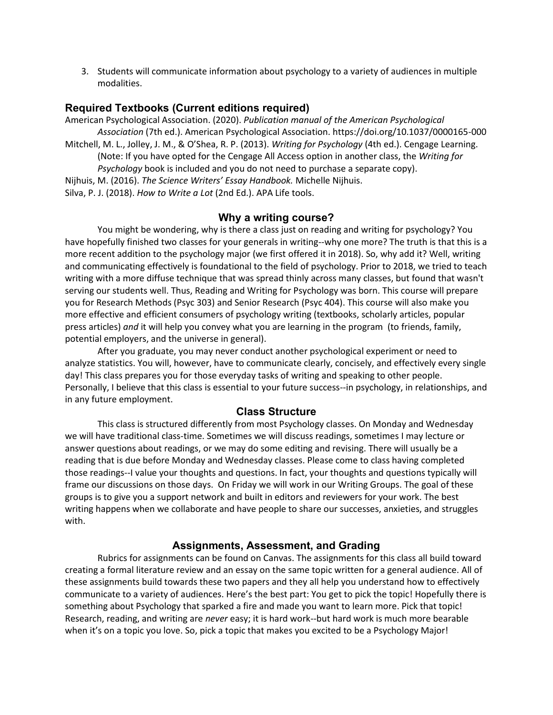3. Students will communicate information about psychology to a variety of audiences in multiple modalities.

#### **Required Textbooks (Current editions required)**

American Psychological Association. (2020). *Publication manual of the American Psychological Association* (7th ed.). American Psychological Association. https://doi.org/10.1037/0000165-000

Mitchell, M. L., Jolley, J. M., & O'Shea, R. P. (2013). *Writing for Psychology* (4th ed.). Cengage Learning. (Note: If you have opted for the Cengage All Access option in another class, the *Writing for Psychology* book is included and you do not need to purchase a separate copy).

Nijhuis, M. (2016). *The Science Writers' Essay Handbook.* Michelle Nijhuis.

Silva, P. J. (2018). *How to Write a Lot* (2nd Ed.). APA Life tools.

#### **Why a writing course?**

You might be wondering, why is there a class just on reading and writing for psychology? You have hopefully finished two classes for your generals in writing--why one more? The truth is that this is a more recent addition to the psychology major (we first offered it in 2018). So, why add it? Well, writing and communicating effectively is foundational to the field of psychology. Prior to 2018, we tried to teach writing with a more diffuse technique that was spread thinly across many classes, but found that wasn't serving our students well. Thus, Reading and Writing for Psychology was born. This course will prepare you for Research Methods (Psyc 303) and Senior Research (Psyc 404). This course will also make you more effective and efficient consumers of psychology writing (textbooks, scholarly articles, popular press articles) *and* it will help you convey what you are learning in the program (to friends, family, potential employers, and the universe in general).

After you graduate, you may never conduct another psychological experiment or need to analyze statistics. You will, however, have to communicate clearly, concisely, and effectively every single day! This class prepares you for those everyday tasks of writing and speaking to other people. Personally, I believe that this class is essential to your future success--in psychology, in relationships, and in any future employment.

#### **Class Structure**

This class is structured differently from most Psychology classes. On Monday and Wednesday we will have traditional class-time. Sometimes we will discuss readings, sometimes I may lecture or answer questions about readings, or we may do some editing and revising. There will usually be a reading that is due before Monday and Wednesday classes. Please come to class having completed those readings--I value your thoughts and questions. In fact, your thoughts and questions typically will frame our discussions on those days. On Friday we will work in our Writing Groups. The goal of these groups is to give you a support network and built in editors and reviewers for your work. The best writing happens when we collaborate and have people to share our successes, anxieties, and struggles with.

#### **Assignments, Assessment, and Grading**

Rubrics for assignments can be found on Canvas. The assignments for this class all build toward creating a formal literature review and an essay on the same topic written for a general audience. All of these assignments build towards these two papers and they all help you understand how to effectively communicate to a variety of audiences. Here's the best part: You get to pick the topic! Hopefully there is something about Psychology that sparked a fire and made you want to learn more. Pick that topic! Research, reading, and writing are *never* easy; it is hard work--but hard work is much more bearable when it's on a topic you love. So, pick a topic that makes you excited to be a Psychology Major!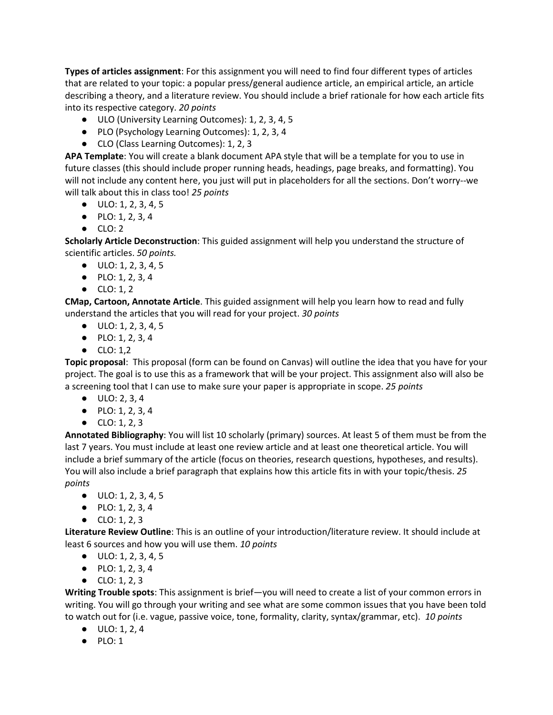**Types of articles assignment**: For this assignment you will need to find four different types of articles that are related to your topic: a popular press/general audience article, an empirical article, an article describing a theory, and a literature review. You should include a brief rationale for how each article fits into its respective category. *20 points*

- ULO (University Learning Outcomes): 1, 2, 3, 4, 5
- PLO (Psychology Learning Outcomes): 1, 2, 3, 4
- CLO (Class Learning Outcomes): 1, 2, 3

**APA Template**: You will create a blank document APA style that will be a template for you to use in future classes (this should include proper running heads, headings, page breaks, and formatting). You will not include any content here, you just will put in placeholders for all the sections. Don't worry--we will talk about this in class too! *25 points*

- $\bullet$  ULO: 1, 2, 3, 4, 5
- $\bullet$  PLO: 1, 2, 3, 4
- $\bullet$  CLO: 2

**Scholarly Article Deconstruction**: This guided assignment will help you understand the structure of scientific articles. *50 points.*

- ULO: 1, 2, 3, 4, 5
- PLO: 1, 2, 3, 4
- CLO: 1, 2

**CMap, Cartoon, Annotate Article**. This guided assignment will help you learn how to read and fully understand the articles that you will read for your project. *30 points*

- $\bullet$  ULO: 1, 2, 3, 4, 5
- PLO: 1, 2, 3, 4
- CLO: 1.2

**Topic proposal**: This proposal (form can be found on Canvas) will outline the idea that you have for your project. The goal is to use this as a framework that will be your project. This assignment also will also be a screening tool that I can use to make sure your paper is appropriate in scope. *25 points*

- ULO: 2, 3, 4
- PLO: 1, 2, 3, 4
- $\bullet$  CLO: 1, 2, 3

**Annotated Bibliography**: You will list 10 scholarly (primary) sources. At least 5 of them must be from the last 7 years. You must include at least one review article and at least one theoretical article. You will include a brief summary of the article (focus on theories, research questions, hypotheses, and results). You will also include a brief paragraph that explains how this article fits in with your topic/thesis. *25 points*

- $\bullet$  ULO: 1, 2, 3, 4, 5
- PLO: 1, 2, 3, 4
- $\bullet$  CLO: 1, 2, 3

**Literature Review Outline**: This is an outline of your introduction/literature review. It should include at least 6 sources and how you will use them. *10 points*

- ULO: 1, 2, 3, 4, 5
- PLO: 1, 2, 3, 4
- $\bullet$  CLO: 1, 2, 3

**Writing Trouble spots**: This assignment is brief—you will need to create a list of your common errors in writing. You will go through your writing and see what are some common issues that you have been told to watch out for (i.e. vague, passive voice, tone, formality, clarity, syntax/grammar, etc). *10 points*

- $\bullet$  ULO: 1, 2, 4
- $\bullet$  PLO: 1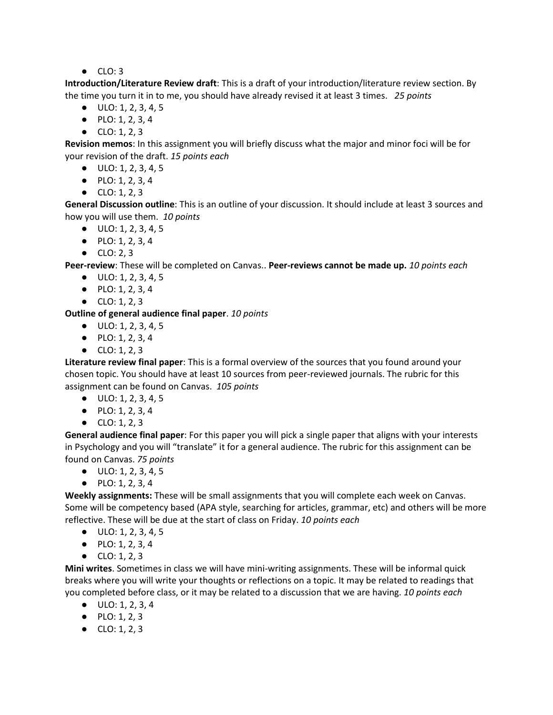$\bullet$  CLO: 3

**Introduction/Literature Review draft**: This is a draft of your introduction/literature review section. By the time you turn it in to me, you should have already revised it at least 3 times. *25 points*

- $\bullet$  ULO: 1, 2, 3, 4, 5
- PLO: 1, 2, 3, 4
- $\bullet$  CLO: 1, 2, 3

**Revision memos**: In this assignment you will briefly discuss what the major and minor foci will be for your revision of the draft. *15 points each*

- ULO: 1, 2, 3, 4, 5
- PLO: 1, 2, 3, 4
- $\bullet$  CLO: 1, 2, 3

**General Discussion outline**: This is an outline of your discussion. It should include at least 3 sources and how you will use them. *10 points*

- $\bullet$  ULO: 1, 2, 3, 4, 5
- PLO: 1, 2, 3, 4
- CLO: 2, 3

**Peer-review**: These will be completed on Canvas.. **Peer-reviews cannot be made up.** *10 points each*

- $\bullet$  ULO: 1, 2, 3, 4, 5
- PLO: 1, 2, 3, 4
- $\bullet$  CLO: 1, 2, 3

**Outline of general audience final paper**. *10 points*

- $\bullet$  ULO: 1, 2, 3, 4, 5
- PLO: 1, 2, 3, 4
- CLO: 1, 2, 3

**Literature review final paper**: This is a formal overview of the sources that you found around your chosen topic. You should have at least 10 sources from peer-reviewed journals. The rubric for this assignment can be found on Canvas. *105 points*

- ULO: 1, 2, 3, 4, 5
- PLO: 1, 2, 3, 4
- CLO: 1, 2, 3

**General audience final paper**: For this paper you will pick a single paper that aligns with your interests in Psychology and you will "translate" it for a general audience. The rubric for this assignment can be found on Canvas. *75 points*

- ULO: 1, 2, 3, 4, 5
- $\bullet$  PLO: 1, 2, 3, 4

**Weekly assignments:** These will be small assignments that you will complete each week on Canvas. Some will be competency based (APA style, searching for articles, grammar, etc) and others will be more reflective. These will be due at the start of class on Friday. *10 points each*

- ULO: 1, 2, 3, 4, 5
- PLO: 1, 2, 3, 4
- $\bullet$  CLO: 1, 2, 3

**Mini writes**. Sometimes in class we will have mini-writing assignments. These will be informal quick breaks where you will write your thoughts or reflections on a topic. It may be related to readings that you completed before class, or it may be related to a discussion that we are having. *10 points each*

- ULO: 1, 2, 3, 4
- PLO: 1, 2, 3
- $CLO: 1, 2, 3$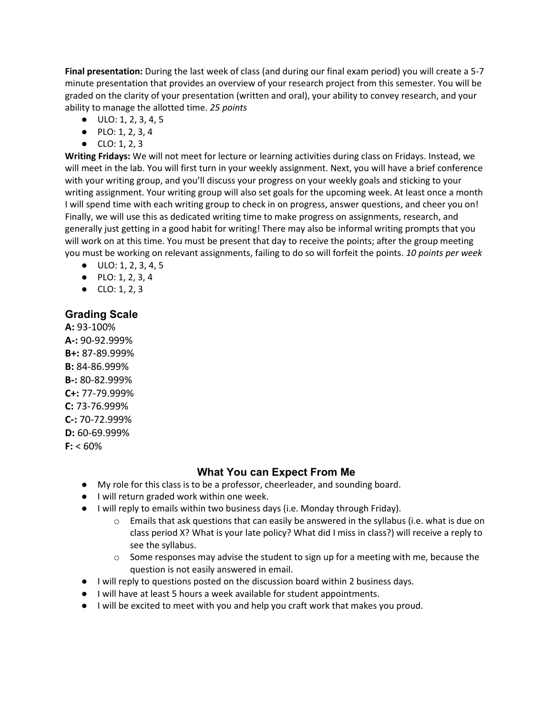**Final presentation:** During the last week of class (and during our final exam period) you will create a 5-7 minute presentation that provides an overview of your research project from this semester. You will be graded on the clarity of your presentation (written and oral), your ability to convey research, and your ability to manage the allotted time. *25 points*

- ULO: 1, 2, 3, 4, 5
- PLO: 1, 2, 3, 4
- CLO: 1, 2, 3

**Writing Fridays:** We will not meet for lecture or learning activities during class on Fridays. Instead, we will meet in the lab. You will first turn in your weekly assignment. Next, you will have a brief conference with your writing group, and you'll discuss your progress on your weekly goals and sticking to your writing assignment. Your writing group will also set goals for the upcoming week. At least once a month I will spend time with each writing group to check in on progress, answer questions, and cheer you on! Finally, we will use this as dedicated writing time to make progress on assignments, research, and generally just getting in a good habit for writing! There may also be informal writing prompts that you will work on at this time. You must be present that day to receive the points; after the group meeting you must be working on relevant assignments, failing to do so will forfeit the points. *10 points per week*

- $\bullet$  ULO: 1, 2, 3, 4, 5
- PLO: 1, 2, 3, 4
- $\bullet$  CLO: 1, 2, 3

## **Grading Scale**

**A:** 93-100% **A-:** 90-92.999% **B+:** 87-89.999% **B:** 84-86.999% **B-:** 80-82.999% **C+:** 77-79.999% **C:** 73-76.999% **C-:** 70-72.999% **D:** 60-69.999%  $F: < 60\%$ 

# **What You can Expect From Me**

- My role for this class is to be a professor, cheerleader, and sounding board.
- I will return graded work within one week.
- I will reply to emails within two business days (i.e. Monday through Friday).
	- $\circ$  Emails that ask questions that can easily be answered in the syllabus (i.e. what is due on class period X? What is your late policy? What did I miss in class?) will receive a reply to see the syllabus.
	- $\circ$  Some responses may advise the student to sign up for a meeting with me, because the question is not easily answered in email.
- I will reply to questions posted on the discussion board within 2 business days.
- I will have at least 5 hours a week available for student appointments.
- I will be excited to meet with you and help you craft work that makes you proud.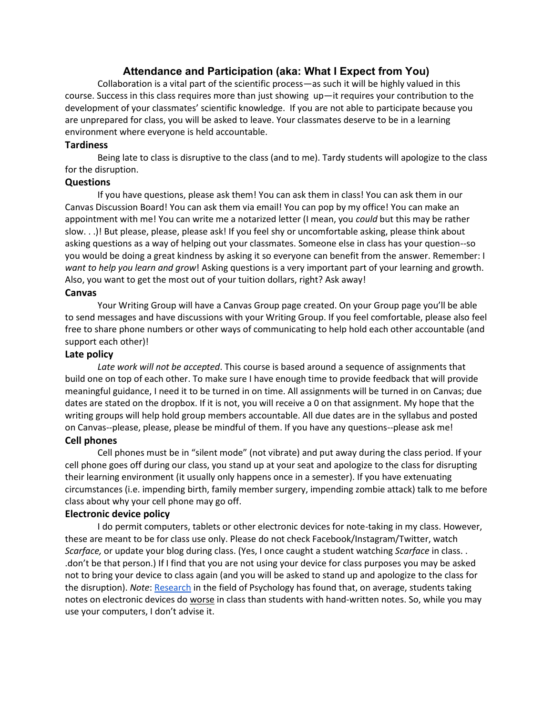### **Attendance and Participation (aka: What I Expect from You)**

Collaboration is a vital part of the scientific process—as such it will be highly valued in this course. Success in this class requires more than just showing up—it requires your contribution to the development of your classmates' scientific knowledge. If you are not able to participate because you are unprepared for class, you will be asked to leave. Your classmates deserve to be in a learning environment where everyone is held accountable.

#### **Tardiness**

Being late to class is disruptive to the class (and to me). Tardy students will apologize to the class for the disruption.

#### **Questions**

If you have questions, please ask them! You can ask them in class! You can ask them in our Canvas Discussion Board! You can ask them via email! You can pop by my office! You can make an appointment with me! You can write me a notarized letter (I mean, you *could* but this may be rather slow. . .)! But please, please, please ask! If you feel shy or uncomfortable asking, please think about asking questions as a way of helping out your classmates. Someone else in class has your question--so you would be doing a great kindness by asking it so everyone can benefit from the answer. Remember: I *want to help you learn and grow*! Asking questions is a very important part of your learning and growth. Also, you want to get the most out of your tuition dollars, right? Ask away!

#### **Canvas**

Your Writing Group will have a Canvas Group page created. On your Group page you'll be able to send messages and have discussions with your Writing Group. If you feel comfortable, please also feel free to share phone numbers or other ways of communicating to help hold each other accountable (and support each other)!

#### **Late policy**

*Late work will not be accepted*. This course is based around a sequence of assignments that build one on top of each other. To make sure I have enough time to provide feedback that will provide meaningful guidance, I need it to be turned in on time. All assignments will be turned in on Canvas; due dates are stated on the dropbox. If it is not, you will receive a 0 on that assignment. My hope that the writing groups will help hold group members accountable. All due dates are in the syllabus and posted on Canvas--please, please, please be mindful of them. If you have any questions--please ask me!

#### **Cell phones**

Cell phones must be in "silent mode" (not vibrate) and put away during the class period. If your cell phone goes off during our class, you stand up at your seat and apologize to the class for disrupting their learning environment (it usually only happens once in a semester). If you have extenuating circumstances (i.e. impending birth, family member surgery, impending zombie attack) talk to me before class about why your cell phone may go off.

#### **Electronic device policy**

I do permit computers, tablets or other electronic devices for note-taking in my class. However, these are meant to be for class use only. Please do not check Facebook/Instagram/Twitter, watch *Scarface,* or update your blog during class. (Yes, I once caught a student watching *Scarface* in class. . .don't be that person.) If I find that you are not using your device for class purposes you may be asked not to bring your device to class again (and you will be asked to stand up and apologize to the class for the disruption). *Note*: [Research](https://www.npr.org/2016/04/17/474525392/attention-students-put-your-laptops-away) in the field of Psychology has found that, on average, students taking notes on electronic devices do worse in class than students with hand-written notes. So, while you may use your computers, I don't advise it.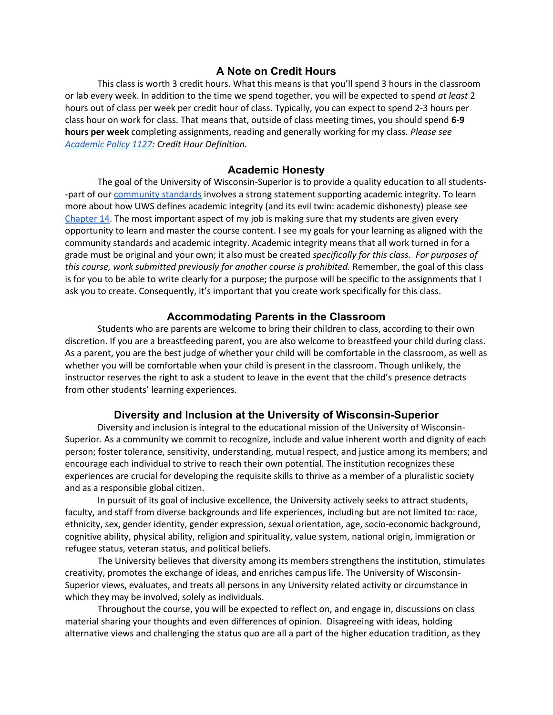#### **A Note on Credit Hours**

This class is worth 3 credit hours. What this means is that you'll spend 3 hours in the classroom or lab every week. In addition to the time we spend together, you will be expected to spend *at least* 2 hours out of class per week per credit hour of class. Typically, you can expect to spend 2-3 hours per class hour on work for class. That means that, outside of class meeting times, you should spend **6-9 hours per week** completing assignments, reading and generally working for my class. *Please see [Academic Policy 1127:](https://www.uwsuper.edu/registrar/policies/undergraduate/upload/AP1127-Credit-Hour-Definition-2011-08-10-2.pdf) Credit Hour Definition.*

#### **Academic Honesty**

The goal of the University of Wisconsin-Superior is to provide a quality education to all students- -part of ou[r](https://www.uwsuper.edu/dos/student-resources/community-standards/index.cfm) [community standards](https://www.uwsuper.edu/dos/student-resources/community-standards/index.cfm) involves a strong statement supporting academic integrity. To learn more about how UWS defines academic integrity (and its evil twin: academic dishonesty) please se[e](https://www.uwsuper.edu/dos/student-resources/community-standards/academic.cfm) [Chapter 14.](https://www.uwsuper.edu/dos/student-resources/community-standards/academic.cfm) The most important aspect of my job is making sure that my students are given every opportunity to learn and master the course content. I see my goals for your learning as aligned with the community standards and academic integrity. Academic integrity means that all work turned in for a grade must be original and your own; it also must be created *specifically for this class*. *For purposes of this course, work submitted previously for another course is prohibited.* Remember, the goal of this class is for you to be able to write clearly for a purpose; the purpose will be specific to the assignments that I ask you to create. Consequently, it's important that you create work specifically for this class.

#### **Accommodating Parents in the Classroom**

Students who are parents are welcome to bring their children to class, according to their own discretion. If you are a breastfeeding parent, you are also welcome to breastfeed your child during class. As a parent, you are the best judge of whether your child will be comfortable in the classroom, as well as whether you will be comfortable when your child is present in the classroom. Though unlikely, the instructor reserves the right to ask a student to leave in the event that the child's presence detracts from other students' learning experiences.

#### **Diversity and Inclusion at the University of Wisconsin-Superior**

Diversity and inclusion is integral to the educational mission of the University of Wisconsin-Superior. As a community we commit to recognize, include and value inherent worth and dignity of each person; foster tolerance, sensitivity, understanding, mutual respect, and justice among its members; and encourage each individual to strive to reach their own potential. The institution recognizes these experiences are crucial for developing the requisite skills to thrive as a member of a pluralistic society and as a responsible global citizen.

In pursuit of its goal of inclusive excellence, the University actively seeks to attract students, faculty, and staff from diverse backgrounds and life experiences, including but are not limited to: race, ethnicity, sex, gender identity, gender expression, sexual orientation, age, socio-economic background, cognitive ability, physical ability, religion and spirituality, value system, national origin, immigration or refugee status, veteran status, and political beliefs.

The University believes that diversity among its members strengthens the institution, stimulates creativity, promotes the exchange of ideas, and enriches campus life. The University of Wisconsin-Superior views, evaluates, and treats all persons in any University related activity or circumstance in which they may be involved, solely as individuals.

Throughout the course, you will be expected to reflect on, and engage in, discussions on class material sharing your thoughts and even differences of opinion. Disagreeing with ideas, holding alternative views and challenging the status quo are all a part of the higher education tradition, as they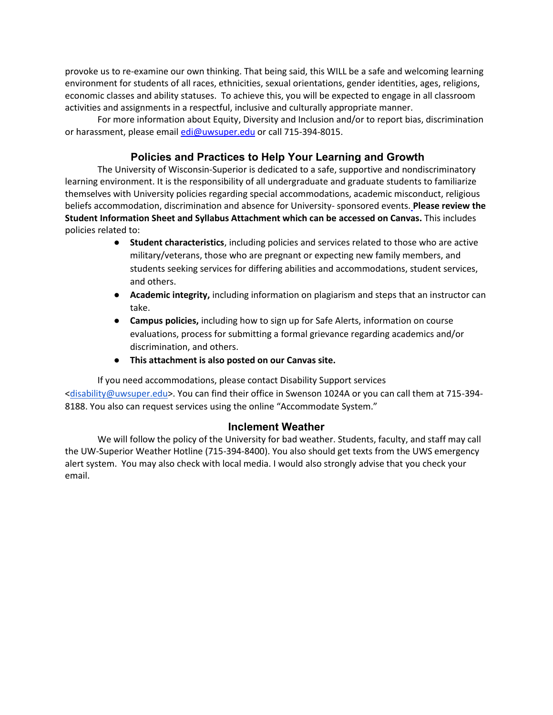provoke us to re-examine our own thinking. That being said, this WILL be a safe and welcoming learning environment for students of all races, ethnicities, sexual orientations, gender identities, ages, religions, economic classes and ability statuses. To achieve this, you will be expected to engage in all classroom activities and assignments in a respectful, inclusive and culturally appropriate manner.

For more information about Equity, Diversity and Inclusion and/or to report bias, discrimination or harassment, please email [edi@uwsuper.edu](mailto:edi@uwsuper.edu) or call 715-394-8015.

## **Policies and Practices to Help Your Learning and Growth**

The University of Wisconsin-Superior is dedicated to a safe, supportive and nondiscriminatory learning environment. It is the responsibility of all undergraduate and graduate students to familiarize themselves with University policies regarding special accommodations, academic misconduct, religious beliefs accommodation, discrimination and absence for University- sponsored events. **Please review the Student Information Sheet and Syllabus Attachment which can be accessed on Canvas.** This includes policies related to:

- **Student characteristics**, including policies and services related to those who are active military/veterans, those who are pregnant or expecting new family members, and students seeking services for differing abilities and accommodations, student services, and others.
- **Academic integrity,** including information on plagiarism and steps that an instructor can take.
- **Campus policies,** including how to sign up for Safe Alerts, information on course evaluations, process for submitting a formal grievance regarding academics and/or discrimination, and others.
- **This attachment is also posted on our Canvas site.**

If you need accommodations, please contact Disability Support services [<disability@uwsuper.edu>](mailto:disability@uwsuper.edu). You can find their office in Swenson 1024A or you can call them at 715-394- 8188. You also can request services using the online "Accommodate System."

#### **Inclement Weather**

We will follow the policy of the University for bad weather. Students, faculty, and staff may call the UW-Superior Weather Hotline (715-394-8400). You also should get texts from the UWS emergency alert system. You may also check with local media. I would also strongly advise that you check your email.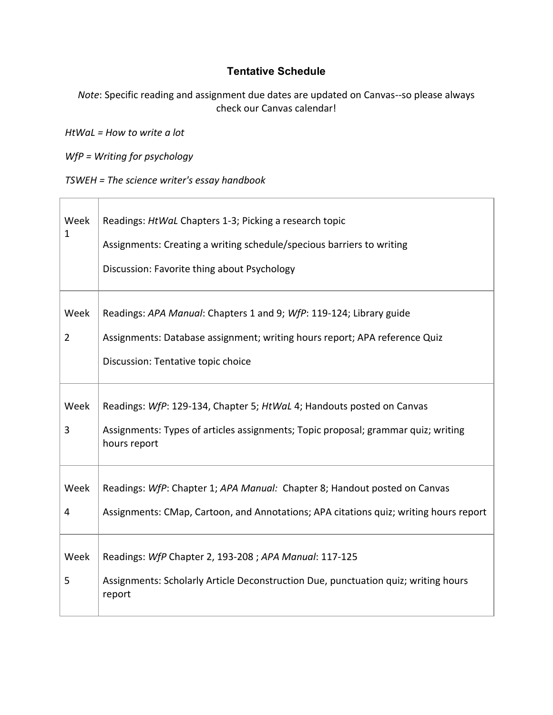# **Tentative Schedule**

*Note*: Specific reading and assignment due dates are updated on Canvas--so please always check our Canvas calendar!

*HtWaL = How to write a lot*

*WfP = Writing for psychology*

Ē

*TSWEH = The science writer's essay handbook*

| Week<br>1              | Readings: HtWaL Chapters 1-3; Picking a research topic<br>Assignments: Creating a writing schedule/specious barriers to writing<br>Discussion: Favorite thing about Psychology          |
|------------------------|-----------------------------------------------------------------------------------------------------------------------------------------------------------------------------------------|
| Week<br>$\overline{2}$ | Readings: APA Manual: Chapters 1 and 9; WfP: 119-124; Library guide<br>Assignments: Database assignment; writing hours report; APA reference Quiz<br>Discussion: Tentative topic choice |
| Week<br>3              | Readings: WfP: 129-134, Chapter 5; HtWaL 4; Handouts posted on Canvas<br>Assignments: Types of articles assignments; Topic proposal; grammar quiz; writing<br>hours report              |
| Week<br>4              | Readings: WfP: Chapter 1; APA Manual: Chapter 8; Handout posted on Canvas<br>Assignments: CMap, Cartoon, and Annotations; APA citations quiz; writing hours report                      |
| Week<br>5              | Readings: WfP Chapter 2, 193-208 ; APA Manual: 117-125<br>Assignments: Scholarly Article Deconstruction Due, punctuation quiz; writing hours<br>report                                  |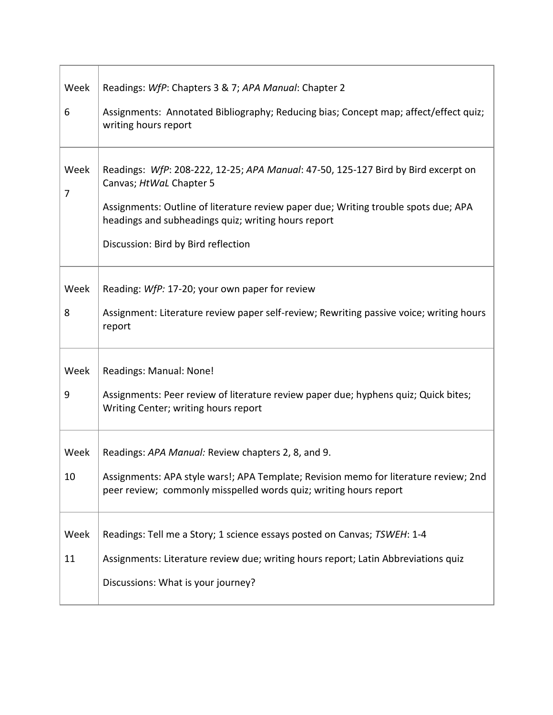| Week      | Readings: WfP: Chapters 3 & 7; APA Manual: Chapter 2                                                                                                      |
|-----------|-----------------------------------------------------------------------------------------------------------------------------------------------------------|
| 6         | Assignments: Annotated Bibliography; Reducing bias; Concept map; affect/effect quiz;<br>writing hours report                                              |
| Week<br>7 | Readings: WfP: 208-222, 12-25; APA Manual: 47-50, 125-127 Bird by Bird excerpt on<br>Canvas; HtWaL Chapter 5                                              |
|           | Assignments: Outline of literature review paper due; Writing trouble spots due; APA<br>headings and subheadings quiz; writing hours report                |
|           | Discussion: Bird by Bird reflection                                                                                                                       |
| Week      | Reading: WfP: 17-20; your own paper for review                                                                                                            |
| 8         | Assignment: Literature review paper self-review; Rewriting passive voice; writing hours<br>report                                                         |
| Week      | Readings: Manual: None!                                                                                                                                   |
| 9         | Assignments: Peer review of literature review paper due; hyphens quiz; Quick bites;<br>Writing Center; writing hours report                               |
| Week      | Readings: APA Manual: Review chapters 2, 8, and 9.                                                                                                        |
| 10        | Assignments: APA style wars!; APA Template; Revision memo for literature review; 2nd<br>peer review; commonly misspelled words quiz; writing hours report |
| Week      | Readings: Tell me a Story; 1 science essays posted on Canvas; TSWEH: 1-4                                                                                  |
| 11        | Assignments: Literature review due; writing hours report; Latin Abbreviations quiz                                                                        |
|           | Discussions: What is your journey?                                                                                                                        |